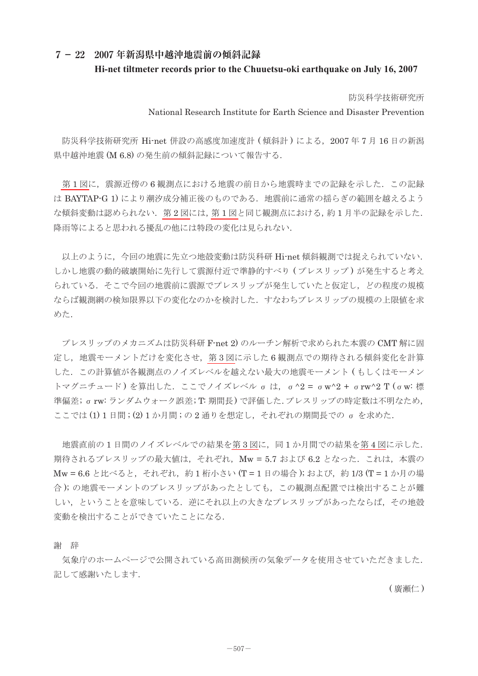## **7- 22 2007 年新潟県中越沖地震前の傾斜記録 Hi-net tiltmeter records prior to the Chuuetsu-oki earthquake on July 16, 2007**

防災科学技術研究所

National Research Institute for Earth Science and Disaster Prevention

 防災科学技術研究所 Hi-net 併設の高感度加速度計 ( 傾斜計 ) による,2007 年 7 月 16 日の新潟 県中越沖地震 (M 6.8) の発生前の傾斜記録について報告する.

第1[図に](#page-2-0)、震源近傍の6観測点における地震の前日から地震時までの記録を示した. この記録 は BAYTAP-G 1) により潮汐成分補正後のものである. 地震前に通常の揺らぎの範囲を越えるよう な傾斜変動は認められない.第 2 [図に](#page-2-0)は,第 1 [図と](#page-2-0)同じ観測点における,約 1 月半の記録を示した. 降雨等によると思われる擾乱の他には特段の変化は見られない.

 以上のように,今回の地震に先立つ地殻変動は防災科研 Hi-net 傾斜観測では捉えられていない. しかし地震の動的破壊開始に先行して震源付近で進静的すべり (プレスリップ) が発生すると考え られている.そこで今回の地震前に震源でプレスリップが発生していたと仮定し,どの程度の規模 ならば観測網の検知限界以下の変化なのかを検討した.すなわちプレスリップの規模の上限値を求 めた.

 プレスリップのメカニズムは防災科研 F-net 2) のルーチン解析で求められた本震の CMT 解に固 定し,地震モーメントだけを変化させ[,第](#page-3-0) 3 図に示した 6 観測点での期待される傾斜変化を計算 した.この計算値が各観測点のノイズレベルを越えない最大の地震モーメント ( もしくはモーメン トマグニチュード) を算出した. ここでノイズレベル σ は, σ^2 = σw^2 + σrw^2 T (σw: 標 準偏差; σrw: ランダムウォーク誤差; T: 期間長) で評価した.プレスリップの時定数は不明なため, ここでは(1)1日間;(2)1か月間;の2通りを想定し、それぞれの期間長での σ を求めた.

地震直前の1日間のノイズレベルでの結果[を第](#page-3-0)3図に、同1か月間での結果を第4図に示した. 期待されるプレスリップの最大値は,それぞれ,Mw = 5.7 および 6.2 となった.これは,本震の Mw = 6.6 と比べると, それぞれ, 約1桁小さい (T = 1日の場合); および, 約1/3 (T = 1か月の場 合 ); の地震モーメントのプレスリップがあったとしても,この観測点配置では検出することが難 しい,ということを意味している. 逆にそれ以上の大きなプレスリップがあったならば、その地殻 変動を検出することができていたことになる.

謝 辞

 気象庁のホームページで公開されている高田測候所の気象データを使用させていただきました. 記して感謝いたします.

( 廣瀬仁 )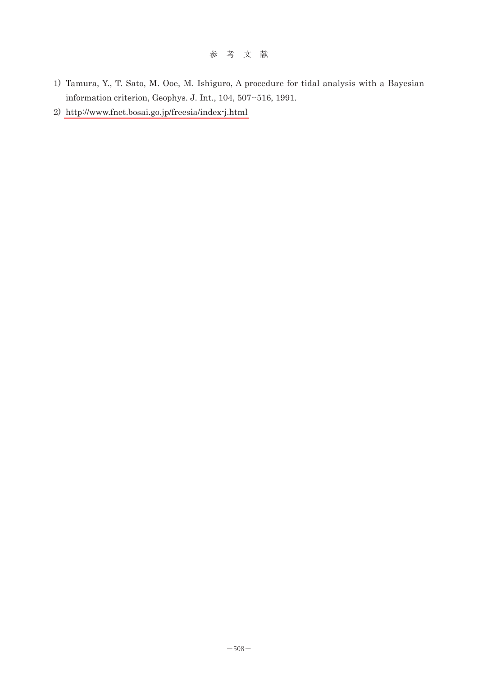- 1) Tamura, Y., T. Sato, M. Ooe, M. Ishiguro, A procedure for tidal analysis with a Bayesian information criterion, Geophys. J. Int., 104, 507--516, 1991.
- 2) <http://www.fnet.bosai.go.jp/freesia/index-j.html>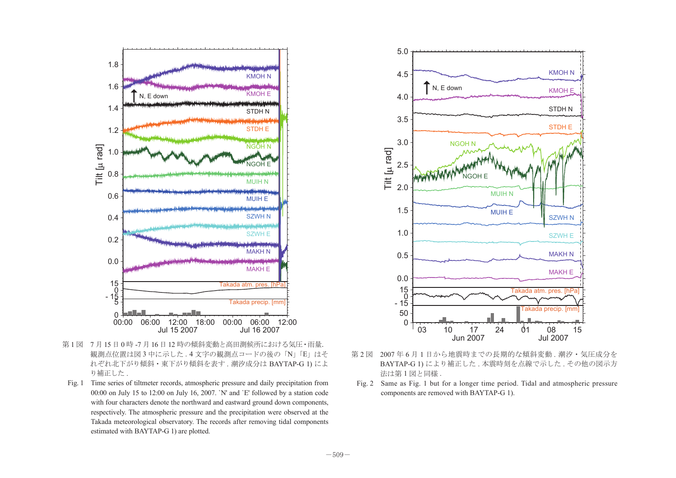<span id="page-2-0"></span>

- 第 1 図 7 月 15 日 0 時 -7 月 16 日 12 時の傾斜変動と高田測候所における気圧・雨量. 観測点位置は図 3 中に示した . 4 文字の観測点コードの後の「N」「E」はそ れぞれ北下がり傾斜・東下がり傾斜を表す . 潮汐成分は BAYTAP-G 1) によ り補正した .
- Fig. 1 Time series of tiltmeter records, atmospheric pressure and daily precipitation from 00:00 on July 15 to 12:00 on July 16, 2007. `N' and `E' followed by a station code with four characters denote the northward and eastward ground down components, respectively. The atmospheric pressure and the precipitation were observed at the Takada meteorological observatory. The records after removing tidal components estimated with BAYTAP-G 1) are plotted.



- 第 2 図 2007 年 6 月 1 日から地震時までの長期的な傾斜変動 . 潮汐・気圧成分を BAYTAP-G 1) により補正した . 本震時刻を点線で示した . その他の図示方 法は第1図と同様.
- Fig. 2 Same as Fig. 1 but for a longer time period. Tidal and atmospheric pressure components are removed with BAYTAP-G 1).